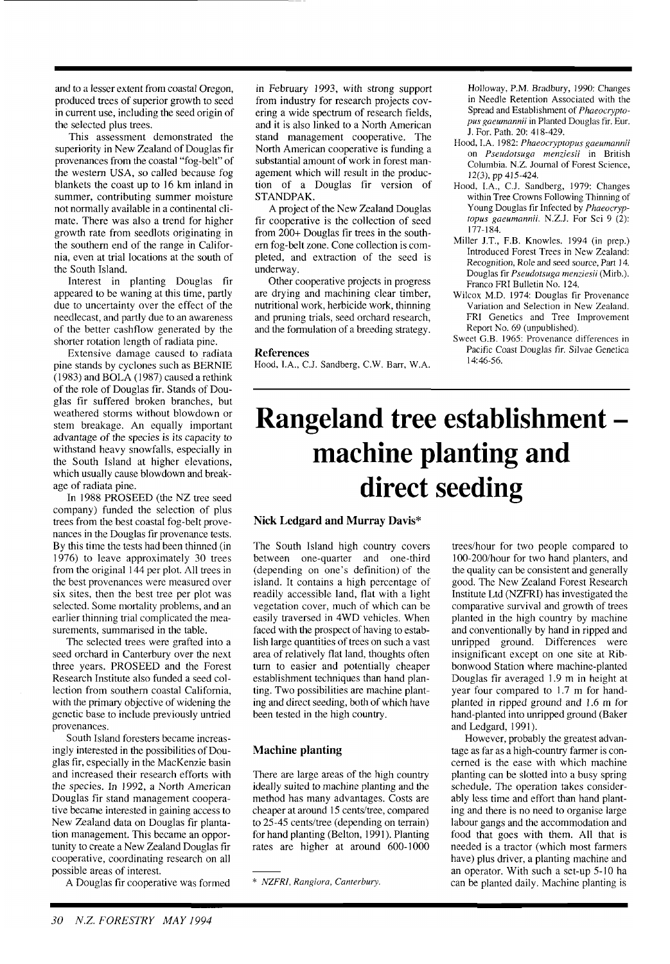and to a lesser extent from coastal Oregon, produced trees of superior growth to seed in current use, including the seed origin of the selected plus trees.

This assessment demonstrated the superiority in New Zealand of Douglas fir provenances from the coastal "fog-belt" of the western USA, so called because fog blankets the coast up to 16 km inland in summer, contributing summer moisture not normally available in a continental climate. There was also a trend for higher growth rate from seedlots originating in the southern end of the range in California, even at trial locations at the south of the South Island.

Interest in planting Douglas fir appeared to be waning at this time, partly due to uncertainty over the effect of the needlecast, and partly due to an awareness of the better cashflow generated by the shorter rotation length of radiata pine.

Extensive damage caused to radiata pine stands by cyclones such as BERNIE  $(1983)$  and BOLA (1987) caused a rethink of the role of Douglas fir. Stands of Douglas fir suffered broken branches, but weathered storms without blowdown or stem breakage. An equally important advantage of the species is its capacity to withstand heavy snowfalls, especially in the South Island at higher elevations, which usually cause blowdown and breakage of radiata pine.

In 1988 PROSEED (the NZ tree seed company) funded the selection of plus trees from the best coastal fog-belt provenances in the Douglas fir provenance tests. By this time the tests had been thinned (in 1976) to leave approximately 30 trees from the original 144 per plot. All trees in the best provenances were measured over six sites, then the best tree per plot was selected. Some mortality problems, and an earlier thinning trial complicated the measurements, summarised in the table.

The selected trees were grafted into a seed orchard in Canterbury over the next three years. PROSEED and the Forest Research Institute also funded a seed collection from southern coastal California, with the primary objective of widening the genetic base to include previously untried provenances.

South Island foresters became increasingly interested in the possibilities of Douglas fir, especially in the MacKenzie basin and increased their research efforts with the species. In 1992, a North American Douglas fir stand management cooperative became interested in gaining access to New Zealand data on Douglas fir plantation management. This became an opportunity to create a New Zealand Douglas fir cooperative, coordinating research on all possible areas of interest.

A Douglas fir cooperative was formed

in February 1993, with strong support from industry for research projects covering a wide spectrum of research fields, and it is also linked to a North American stand management cooperative. The North American cooperative is funding a substantial amount of work in forest management which will result in the production of a Douglas fir version of STANDPAK.

A project of the New Zealand Douglas fir cooperative is the collection of seed from 200+ Douglas fir trees in the southern fog-belt zone. Cone collection is completed, and extraction of the seed is underway.

Other cooperative projects in progress are drying and machining clear timber, nutritional work, herbicide work, thinning and pruning trials, seed orchard research, and the formulation of a breeding strategy.

#### **References**

Hood, LA., C.J. Sandberg, C.W. Barr, W.A.

Holloway, P.M. Bradbury, 1990: Changes in Needle Retention Associated with the Spread and Establishment of *Phaeocrypto*pus gaeumannii in Planted Douglas fir. Eur. J. For. Path. 20: 41 8-429.

- Hood, I.A. 1982: *Phaeocryptopus gaeumannii*  on *Pseudorsuga menziesii* in British Columbia. N.Z. Journal of Forest Science, 12(3), pp 415-424.
- Hood, LA., C.J. Sandberg, 1979: Changes within Tree Crowns Following Thinning of Young Douglas fir Infected by *Phaeocryptopus gaeumannii.* N.Z.J. For Sci 9 (2): 177-184.
- Miller J.T., F.B. Knowles. 1994 (in prep.) Introduced Forest Trees in New Zealand: Recognition, Role and seed source, Part 14. Douglas fir *Pseudorsuga menziesii* (Mirb.). Franco FRI Bulletin No. 124.
- Wilcox M.D. 1974: Douglas fir Provenance Variation and Selection in New Zealand. FRI Genetics and Tree Improvement Report No. 69 (unpublished).
- Sweet G.B. 1965: Provenance differences in Pacific Coast Douglas fir. Silvae Genetica  $14.46.56$

## **Rangeland tree establishment machine planting and direct seeding**

#### **Nick Ledgard and Murray Davis\***

The South Island high country covers between one-quarter and one-third (depending on one's definition) of the island. It contains a high percentage of readily accessible land, flat with a light vegetation cover, much of which can be easily traversed in 4WD vehicles. When faced with the prospect of having to establish large quantities of trees on such a vast area of relatively flat land, thoughts often turn to easier and potentially cheaper establishment techniques than hand planting. Two possibilities are machine planting and direct seeding, both of which have been tested in the high country.

### **Machine planting**

There are large areas of the high country ideally suited to machine planting and the method has many advantages. Costs are cheaper at around 15 cents/tree, compared to 25-45 cents/tree (depending on terrain) for hand planting (Belton, 1991). Planting rates are higher at around 600-1000

trees/hour for two people compared to 100-200/hour for two hand planters, and the quality can be consistent and generally good. The New Zealand Forest Research Institute Ltd (NZFRI) has investigated the comparative survival and growth of trees planted in the high country by machine and conventionally by hand in ripped and unripped ground. Differences were insignificant except on one site at Ribbonwood Station where machine-planted Douglas fir averaged 1.9 m in height at year four compared to 1.7 m for handplanted in ripped ground and 1.6 m for hand-planted into unripped ground (Baker and Ledgard, 1991).

However, probably the greatest advantage as far as a high-country farmer is concerned is the ease with which machine planting can be slotted into a busy spring schedule. The operation takes considerably less time and effort than hand planting and there is no need to organise large labour gangs and the accommodation and food that goes with them. All that is needed is a tractor (which most farmers have) plus driver, a planting machine and an operator. With such a set-up 5-10 ha can be planted daily. Machine planting is

<sup>\*</sup> *NZFRI, Rangiara, Canterbury.*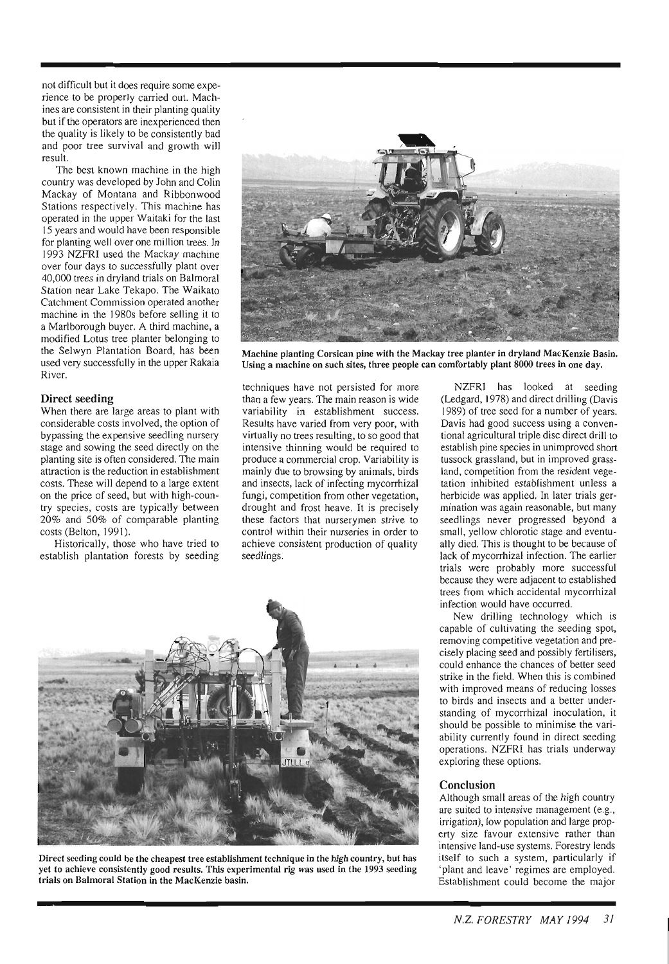not difficult but it does require some experience to be properly carried out. Machines are consistent in their planting quality but if the operators are inexperienced then the quality is likely to be consistently bad and poor tree survival and growth will result.

The best known machine in the high country was developed by John and Colin Mackay of Montana and Ribbonwood Stations respectively. This machine has operated in the upper Waitaki for the last 15 years and would have been responsible for planting well over one million trees. In 1993 NZFRI used the Mackay machine over four days to successfully plant over 40,000 trees in dryland trials on Balmoral Station near Lake Tekapo. The Waikato Catchment Commission operated another machine in the 1980s before selling it to a Marlborough buyer. A third machine, a modified Lotus tree planter belonging to the Selwyn Plantation Board, has been used very successfully in the upper Rakaia River.

#### **Direct seeding**

When there are large areas to plant with considerable costs involved, the option of bypassing the expensive seedling nursery stage and sowing the seed directly on the planting site is often considered. The main attraction is the reduction in establishment costs. These will depend to a large extent on the price of seed, but with high-country species, costs are typically between 20% and 50% of comparable planting costs (Belton, 1991).

Historically, those who have tried to establish plantation forests by seeding



**Machine planting Corsican pine with the Mackay tree planter in dryland MacKenzie Basin. Using a machine on such sites, three people can comfortably plant 8000 trees in one day.** 

techniques have not persisted for more than a few years. The main reason is wide variability in establishment success. Results have varied from very poor, with virtually no trees resulting, to so good that intensive thinning would be required to produce a commercial crop. Variability is mainly due to browsing by animals, birds and insects, lack of infecting mycorrhizal fungi, competition from other vegetation, drought and frost heave. It is precisely these factors that nurserymen strive to control within their nurseries in order to achieve consistent production of quality seedlings.



**Direct seeding could be the cheapest tree establishment technique in the high country, but has yet to achieve consistently good results. This experimental rig was used in the 1993 seeding trials on Balmoral Station in the MacKenzie basin.** 

-~

NZFRI has looked at seeding (Ledgard, 1978) and direct drilling (Davis 1989) of tree seed for a number of years. Davis had good success using a conventional agricultural triple disc direct drill to establish pine species in unimproved short tussock grassland, but in improved grassland, competition from the resident vegetation inhibited establishment unless a herbicide was applied. In later trials germination was again reasonable, but many seedlings never progressed beyond a small, yellow chlorotic stage and eventually died. This is thought to be because of lack of mycorrhizal infection. The earlier trials were probably more successful because they were adjacent to established trees from which accidental mycorrhizal infection would have occurred.

New drilling technology which is capable of cultivating the seeding spot, removing competitive vegetation and precisely placing seed and possibly fertilisers, could enhance the chances of better seed strike in the field. When this is combined with improved means of reducing losses to birds and insects and a better understanding of mycorrhizal inoculation, it should be possible to minimise the variability currently found in direct seeding operations. NZFRI has trials underway exploring these options.

#### **Conclusion**

Although small areas of the high country are suited to intensive management (e.g., irrigation), low population and large property size favour extensive rather than intensive land-use systems. Forestry lends itself to such a system, particularly if 'plant and leave' regimes are employed. Establishment could become the major